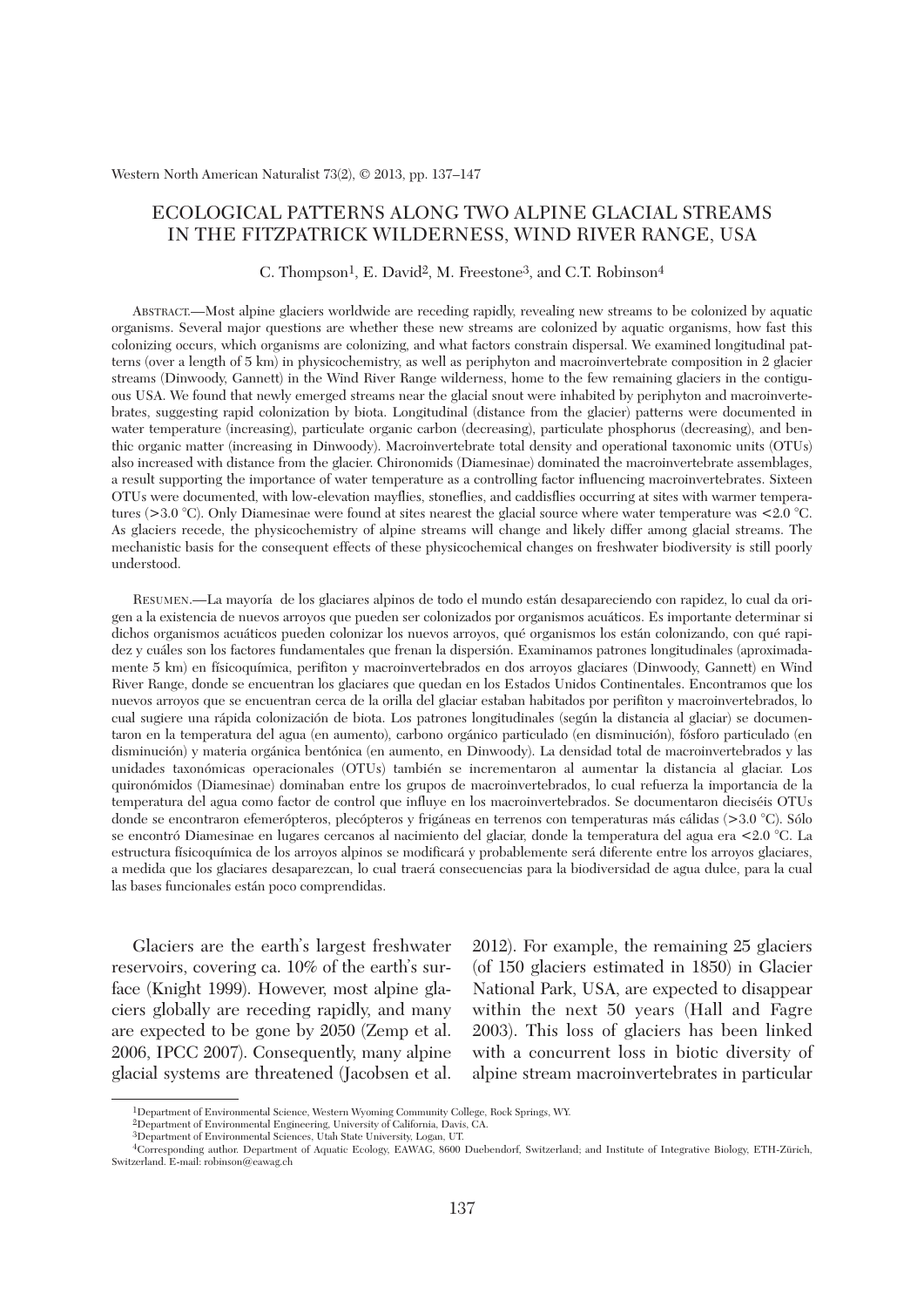## ECOLOGICAL PATTERNS ALONG TWO ALPINE GLACIAL STREAMS IN THE FITZPATRICK WILDERNESS, WIND RIVER RANGE, USA

C. Thompson<sup>1</sup>, E. David<sup>2</sup>, M. Freestone<sup>3</sup>, and C.T. Robinson<sup>4</sup>

ABSTRACT.—Most alpine glaciers worldwide are receding rapidly, revealing new streams to be colonized by aquatic organisms. Several major questions are whether these new streams are colonized by aquatic organisms, how fast this colonizing occurs, which organisms are colonizing, and what factors constrain dispersal. We examined longitudinal patterns (over a length of 5 km) in physicochemistry, as well as periphyton and macroinvertebrate composition in 2 glacier streams (Dinwoody, Gannett) in the Wind River Range wilderness, home to the few remaining glaciers in the contiguous USA. We found that newly emerged streams near the glacial snout were inhabited by periphyton and macroinvertebrates, suggesting rapid colonization by biota. Longitudinal (distance from the glacier) patterns were documented in water temperature (increasing), particulate organic carbon (decreasing), particulate phosphorus (decreasing), and benthic organic matter (increasing in Dinwoody). Macroinvertebrate total density and operational taxonomic units (OTUs) also increased with distance from the glacier. Chironomids (Diamesinae) dominated the macroinvertebrate assemblages, a result supporting the importance of water temperature as a controlling factor influencing macroinvertebrates. Sixteen OTUs were documented, with low-elevation mayflies, stoneflies, and caddisflies occurring at sites with warmer temperatures (>3.0 °C). Only Diamesinae were found at sites nearest the glacial source where water temperature was <2.0 °C. As glaciers recede, the physicochemistry of alpine streams will change and likely differ among glacial streams. The mechanistic basis for the consequent effects of these physicochemical changes on freshwater biodiversity is still poorly understood.

RESUMEN.—La mayoría de los glaciares alpinos de todo el mundo están desapareciendo con rapidez, lo cual da origen a la existencia de nuevos arroyos que pueden ser colonizados por organismos acuáticos. Es importante determinar si dichos organismos acuáticos pueden colonizar los nuevos arroyos, qué organismos los están colonizando, con qué rapidez y cuáles son los factores fundamentales que frenan la dispersión. Examinamos patrones longitudinales (aproximadamente 5 km) en físicoquímica, perifiton y macroinvertebrados en dos arroyos glaciares (Dinwoody, Gannett) en Wind River Range, donde se encuentran los glaciares que quedan en los Estados Unidos Continentales. Encontramos que los nuevos arroyos que se encuentran cerca de la orilla del glaciar estaban habitados por perifiton y macroinvertebrados, lo cual sugiere una rápida colonización de biota. Los patrones longitudinales (según la distancia al glaciar) se documentaron en la temperatura del agua (en aumento), carbono orgánico particulado (en disminución), fósforo particulado (en disminución) y materia orgánica bentónica (en aumento, en Dinwoody). La densidad total de macroinvertebrados y las unidades taxonómicas operacionales (OTUs) también se incrementaron al aumentar la distancia al glaciar. Los quironómidos (Diamesinae) dominaban entre los grupos de macroinvertebrados, lo cual refuerza la importancia de la temperatura del agua como factor de control que influye en los macroinvertebrados. Se documentaron dieciséis OTUs donde se encontraron efemerópteros, plecópteros y frigáneas en terrenos con temperaturas más cálidas (>3.0 °C). Sólo se encontró Diamesinae en lugares cercanos al nacimiento del glaciar, donde la temperatura del agua era <2.0 °C. La estructura físicoquímica de los arroyos alpinos se modificará y probablemente será diferente entre los arroyos glaciares, a medida que los glaciares desaparezcan, lo cual traerá consecuencias para la biodiversidad de agua dulce, para la cual las bases funcionales están poco comprendidas.

Glaciers are the earth's largest freshwater reservoirs, covering ca. 10% of the earth's surface (Knight 1999). However, most alpine glaciers globally are receding rapidly, and many are expected to be gone by 2050 (Zemp et al. 2006, IPCC 2007). Consequently, many alpine glacial systems are threatened (Jacobsen et al. 2012). For example, the remaining 25 glaciers (of 150 glaciers estimated in 1850) in Glacier National Park, USA, are expected to disappear within the next 50 years (Hall and Fagre 2003). This loss of glaciers has been linked with a concurrent loss in biotic diversity of alpine stream macroinvertebrates in particular

<sup>1</sup>Department of Environmental Science, Western Wyoming Community College, Rock Springs, WY.

<sup>2</sup>Department of Environmental Engineering, University of California, Davis, CA.

<sup>3</sup>Department of Environmental Sciences, Utah State University, Logan, UT.

<sup>4</sup>Corresponding author. Department of Aquatic Ecology, EAWAG, 8600 Duebendorf, Switzerland; and Institute of Integrative Biology, ETH-Zürich, Switzerland. E-mail: robinson@eawag.ch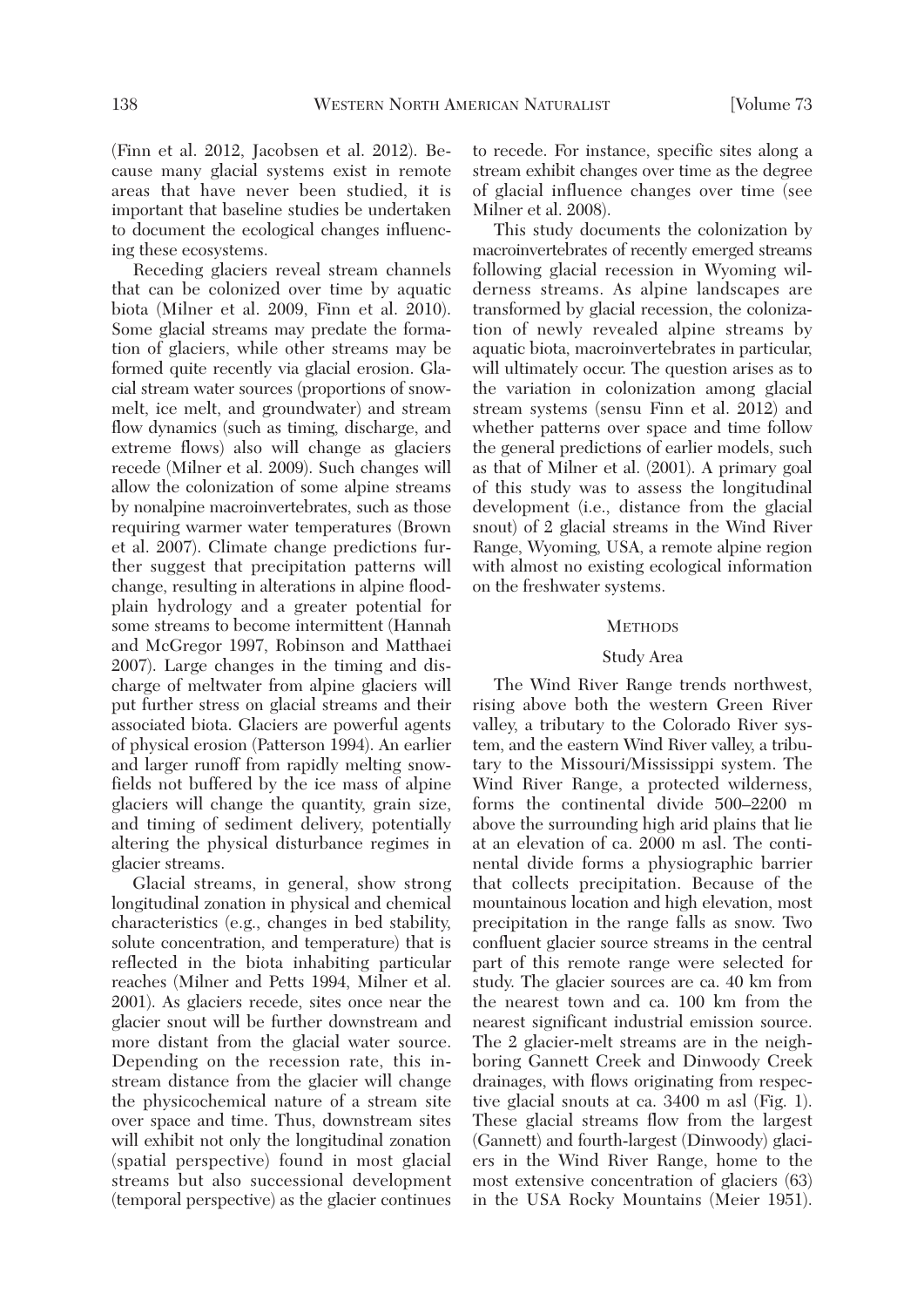(Finn et al. 2012, Jacobsen et al. 2012). Be cause many glacial systems exist in remote areas that have never been studied, it is important that baseline studies be undertaken to document the ecological changes influencing these ecosystems.

Receding glaciers reveal stream channels that can be colonized over time by aquatic biota (Milner et al. 2009, Finn et al. 2010). Some glacial streams may predate the formation of glaciers, while other streams may be formed quite recently via glacial erosion. Glacial stream water sources (proportions of snow melt, ice melt, and groundwater) and stream flow dynamics (such as timing, discharge, and extreme flows) also will change as glaciers recede (Milner et al. 2009). Such changes will allow the colonization of some alpine streams by nonalpine macroinvertebrates, such as those requiring warmer water temperatures (Brown et al. 2007). Climate change predictions further suggest that precipitation patterns will change, resulting in alterations in alpine floodplain hydrology and a greater potential for some streams to become intermittent (Hannah and McGregor 1997, Robinson and Matthaei 2007). Large changes in the timing and discharge of meltwater from alpine glaciers will put further stress on glacial streams and their associated biota. Glaciers are powerful agents of physical erosion (Patterson 1994). An earlier and larger runoff from rapidly melting snowfields not buffered by the ice mass of alpine glaciers will change the quantity, grain size, and timing of sediment delivery, potentially altering the physical disturbance regimes in glacier streams.

Glacial streams, in general, show strong longitudinal zonation in physical and chemical characteristics (e.g., changes in bed stability, solute concentration, and temperature) that is reflected in the biota inhabiting particular reaches (Milner and Petts 1994, Milner et al. 2001). As glaciers recede, sites once near the glacier snout will be further downstream and more distant from the glacial water source. Depending on the recession rate, this instream distance from the glacier will change the physicochemical nature of a stream site over space and time. Thus, downstream sites will exhibit not only the longitudinal zonation (spatial perspective) found in most glacial streams but also successional development (temporal perspective) as the glacier continues

to recede. For instance, specific sites along a stream exhibit changes over time as the degree of glacial influence changes over time (see Milner et al. 2008).

This study documents the colonization by macroinvertebrates of recently emerged streams following glacial recession in Wyoming wilderness streams. As alpine landscapes are transformed by glacial recession, the colonization of newly revealed alpine streams by aquatic biota, macroinvertebrates in particular, will ultimately occur. The question arises as to the variation in colonization among glacial stream systems (sensu Finn et al. 2012) and whether patterns over space and time follow the general predictions of earlier models, such as that of Milner et al. (2001). A primary goal of this study was to assess the longitudinal development (i.e., distance from the glacial snout) of 2 glacial streams in the Wind River Range, Wyoming, USA, a remote alpine region with almost no existing ecological information on the freshwater systems.

#### **METHODS**

#### Study Area

The Wind River Range trends northwest, rising above both the western Green River valley, a tributary to the Colorado River system, and the eastern Wind River valley, a tributary to the Missouri/Mississippi system. The Wind River Range, a protected wilderness, forms the continental divide 500–2200 m above the surrounding high arid plains that lie at an elevation of ca. 2000 m asl. The continental divide forms a physiographic barrier that collects precipitation. Because of the mountainous location and high elevation, most precipitation in the range falls as snow. Two confluent glacier source streams in the central part of this remote range were selected for study. The glacier sources are ca. 40 km from the nearest town and ca. 100 km from the nearest significant industrial emission source. The 2 glacier-melt streams are in the neighboring Gannett Creek and Dinwoody Creek drainages, with flows originating from respective glacial snouts at ca. 3400 m asl (Fig. 1). These glacial streams flow from the largest (Gannett) and fourth-largest (Dinwoody) glaciers in the Wind River Range, home to the most extensive concentration of glaciers (63) in the USA Rocky Mountains (Meier 1951).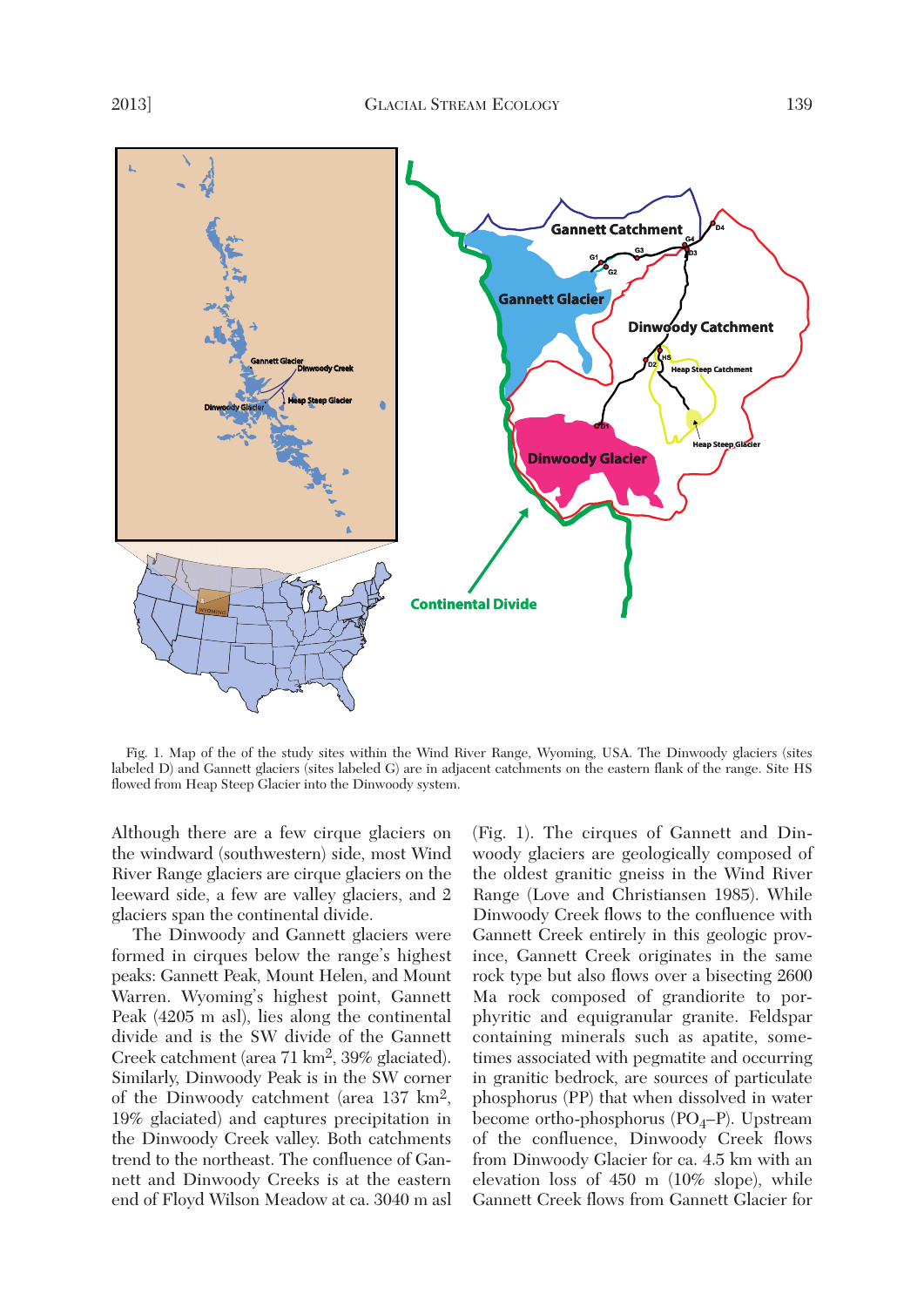

Fig. 1. Map of the of the study sites within the Wind River Range, Wyoming, USA. The Dinwoody glaciers (sites labeled D) and Gannett glaciers (sites labeled G) are in adjacent catchments on the eastern flank of the range. Site HS flowed from Heap Steep Glacier into the Dinwoody system.

Although there are a few cirque glaciers on the windward (southwestern) side, most Wind River Range glaciers are cirque glaciers on the leeward side, a few are valley glaciers, and 2 glaciers span the continental divide.

The Dinwoody and Gannett glaciers were formed in cirques below the range's highest peaks: Gannett Peak, Mount Helen, and Mount Warren. Wyoming's highest point, Gannett Peak (4205 m asl), lies along the continental divide and is the SW divide of the Gannett Creek catchment (area 71 km2, 39% glaciated). Similarly, Dinwoody Peak is in the SW corner of the Dinwoody catchment (area 137 km2, 19% glaciated) and captures precipitation in the Dinwoody Creek valley. Both catchments trend to the northeast. The confluence of Gannett and Dinwoody Creeks is at the eastern end of Floyd Wilson Meadow at ca. 3040 m asl (Fig. 1). The cirques of Gannett and Dinwoody glaciers are geologically composed of the oldest granitic gneiss in the Wind River Range (Love and Christiansen 1985). While Dinwoody Creek flows to the confluence with Gannett Creek entirely in this geologic province, Gannett Creek originates in the same rock type but also flows over a bisecting 2600 Ma rock composed of grandiorite to porphyritic and equigranular granite. Feldspar containing minerals such as apatite, sometimes associated with pegmatite and occurring in granitic bedrock, are sources of particulate phosphorus (PP) that when dissolved in water become ortho-phosphorus  $(PO<sub>A</sub>-P)$ . Upstream of the confluence, Dinwoody Creek flows from Dinwoody Glacier for ca. 4.5 km with an elevation loss of 450 m (10% slope), while Gannett Creek flows from Gannett Glacier for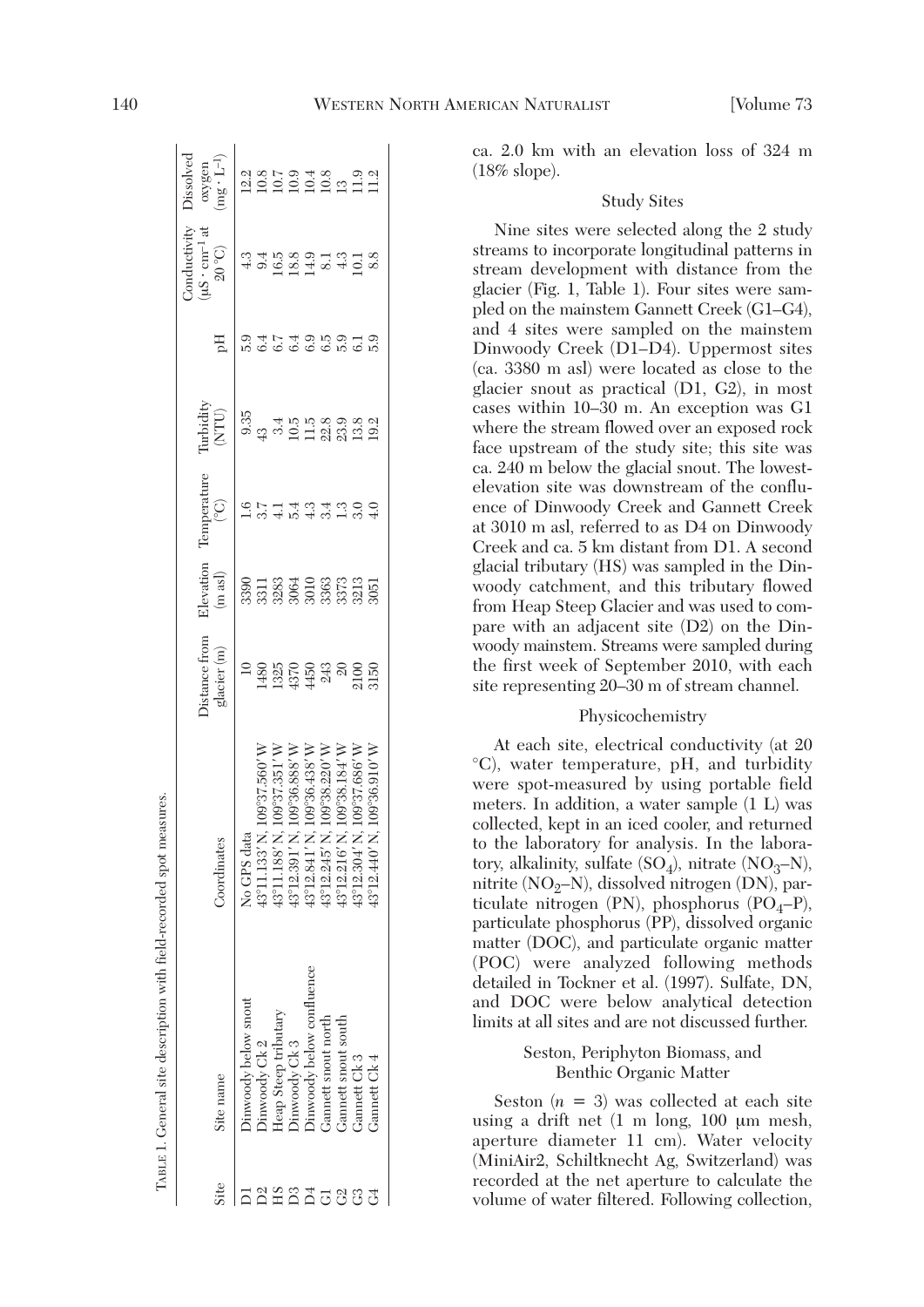|     | ite name                                                                                                                          |                                                                                                                                    | istance from<br>dacier (m) | levation<br>$(m \text{ as } l)$     | lemperature          | <b>urbidity</b><br>$\left( \text{NTU} \right)$ | Hq                        | $uS \cdot cm^{-1}$ at<br>onductivity<br>$20\,^{\circ}\mathrm{C}$ | <b>Dissolved</b><br>oxygen $\mathop{\rm mag}_\mathrm{S} \cdot \mathop{\rm L-1}\nolimits)$ |
|-----|-----------------------------------------------------------------------------------------------------------------------------------|------------------------------------------------------------------------------------------------------------------------------------|----------------------------|-------------------------------------|----------------------|------------------------------------------------|---------------------------|------------------------------------------------------------------|-------------------------------------------------------------------------------------------|
|     |                                                                                                                                   | Io GPS data                                                                                                                        |                            | 830                                 |                      |                                                |                           |                                                                  | 12.2                                                                                      |
|     |                                                                                                                                   | 09°37.560'<br>$11.133'$ N                                                                                                          |                            | 3311                                |                      |                                                | $\ddot{ }$                |                                                                  |                                                                                           |
|     |                                                                                                                                   | 09°37.351'<br>8°11.188'N,                                                                                                          |                            |                                     |                      |                                                |                           | 16.5                                                             |                                                                                           |
|     | Dinwoody below snout<br>Dinwoody Ck 2<br>Heap Steep tributary<br>Dinwoody Ck 3<br>Dinwoody below confluence<br>Camett snout north | 09°36.888'<br>$13^{\circ}12.391'$ N,                                                                                               | 1325<br>1370               | 333<br>3063<br>3353<br>3353<br>3051 |                      |                                                |                           | 18.8                                                             |                                                                                           |
|     |                                                                                                                                   | $43^{\circ}12.841' \, \text{N} , 109^{\circ}36.438' \, \text{W} \\ 43^{\circ}12.245' \, \text{N} , 109^{\circ}38.220' \, \text{W}$ | $-450$                     |                                     | 4.3                  |                                                | 6.9                       |                                                                  |                                                                                           |
|     |                                                                                                                                   |                                                                                                                                    | 243                        |                                     |                      |                                                |                           |                                                                  |                                                                                           |
|     | Gannett snout south                                                                                                               | 109°38.184' W<br>43°12.216' N,                                                                                                     |                            |                                     | $3.4900$<br>$3.4900$ | 15.89.89.91<br>11.81.81.91.91                  | 5<br>6 5 5 6 5<br>6 5 6 7 | 9<br>11 3 4 5 8<br>11 9 10 11                                    |                                                                                           |
| ij  | Gannett Ck 3                                                                                                                      | t3°12.304' N, 109°37.686' W                                                                                                        | 2100<br>3150               |                                     |                      |                                                |                           |                                                                  |                                                                                           |
| र्त | <b>Jannett</b> Ck 4                                                                                                               | 3°12.440' N, 109°36.910' W                                                                                                         |                            |                                     |                      |                                                |                           |                                                                  |                                                                                           |
|     |                                                                                                                                   |                                                                                                                                    |                            |                                     |                      |                                                |                           |                                                                  |                                                                                           |

TABLE 1. General site description with field-recorded spot measures.

TABLE 1. General site description with field-recorded spot measures

streams to incorporate longitudinal patterns in stream development with distance from the glacier (Fig. 1, Table 1). Four sites were sampled on the mainstem Gannett Creek (G1–G4), and 4 sites were sampled on the mainstem Dinwoody Creek (D1–D4). Uppermost sites (ca. 3380 m asl) were located as close to the glacier snout as practical (D1, G2), in most cases within 10–30 m. An exception was G1 where the stream flowed over an exposed rock face upstream of the study site; this site was ca. 240 m below the glacial snout. The lowestelevation site was downstream of the confluence of Dinwoody Creek and Gannett Creek at 3010 m asl, referred to as D4 on Dinwoody Creek and ca. 5 km distant from D1. A second glacial tributary (HS) was sampled in the Dinwoody catchment, and this tributary flowed from Heap Steep Glacier and was used to compare with an adjacent site (D2) on the Dinwoody mainstem. Streams were sampled during the first week of September 2010, with each

# site representing 20–30 m of stream channel. Physicochemistry

At each site, electrical conductivity (at 20 °C), water temperature, pH, and turbidity were spot-measured by using portable field meters. In addition, a water sample (1 L) was collected, kept in an iced cooler, and returned to the laboratory for analysis. In the laboratory, alkalinity, sulfate  $(SO_4)$ , nitrate  $(NO_3-N)$ , nitrite ( $NO<sub>2</sub>–N$ ), dissolved nitrogen (DN), particulate nitrogen (PN), phosphorus (PO<sub>4</sub>–P), particulate phosphorus (PP), dissolved organic matter (DOC), and particulate organic matter (POC) were analyzed following methods detailed in Tockner et al. (1997). Sulfate, DN, and DOC were below analytical detection limits at all sites and are not discussed further.

## Seston, Periphyton Biomass, and Benthic Organic Matter

Seston  $(n = 3)$  was collected at each site using a drift net  $(1 \text{ m long}, 100 \text{ \mu m mesh},$ aperture diameter 11 cm). Water velocity (MiniAir2, Schiltknecht Ag, Switzerland) was recorded at the net aperture to calculate the volume of water filtered. Following collection,

ca. 2.0 km with an elevation loss of 324 m (18% slope).

## Study Sites Nine sites were selected along the 2 study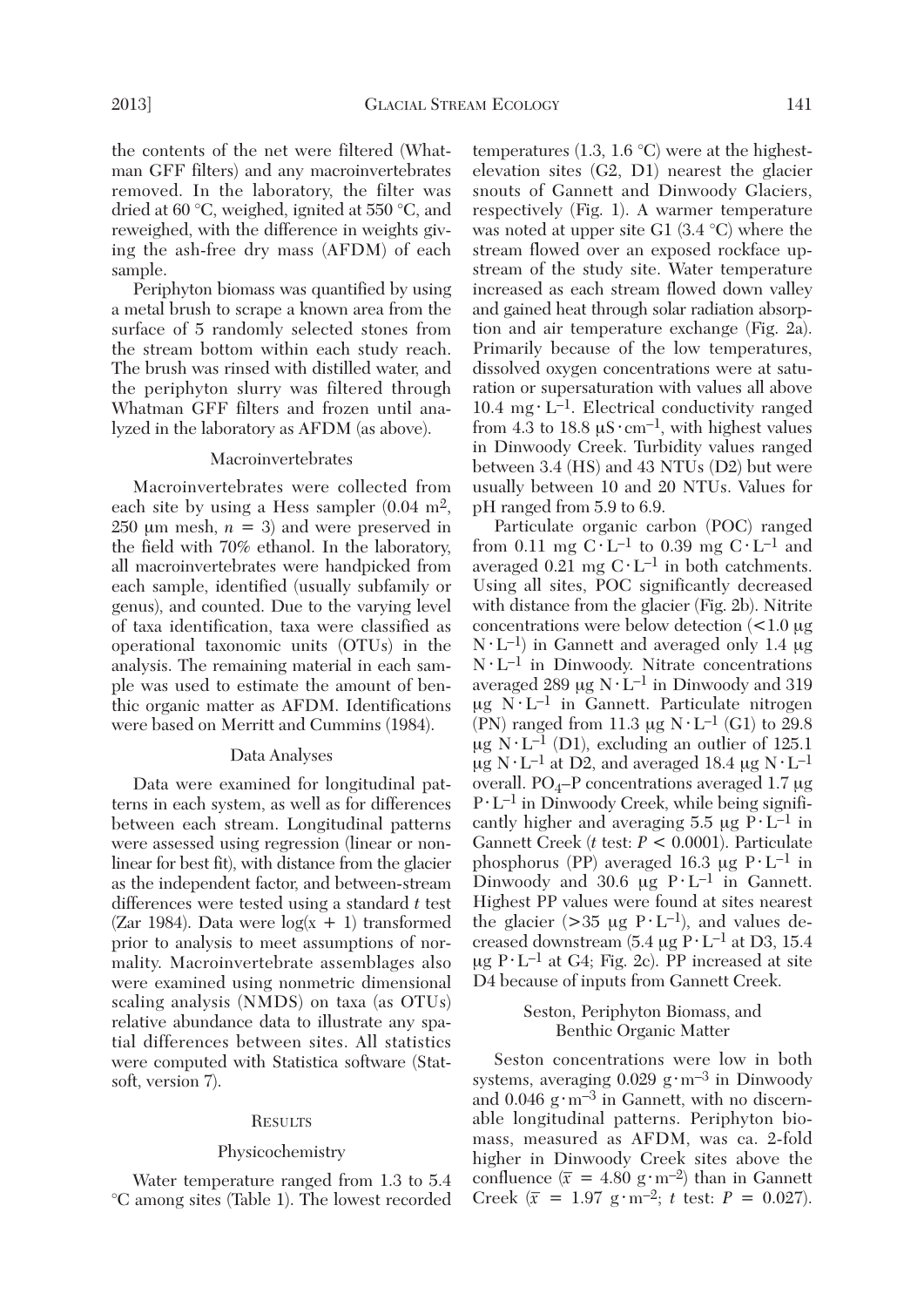the contents of the net were filtered (Whatman GFF filters) and any macroinvertebrates removed. In the laboratory, the filter was dried at 60 °C, weighed, ignited at 550 °C, and reweighed, with the difference in weights giving the ash-free dry mass (AFDM) of each sample.

Periphyton biomass was quantified by using a metal brush to scrape a known area from the surface of 5 randomly selected stones from the stream bottom within each study reach. The brush was rinsed with distilled water, and the periphyton slurry was filtered through Whatman GFF filters and frozen until analyzed in the laboratory as AFDM (as above).

#### Macroinvertebrates

Macroinvertebrates were collected from each site by using a Hess sampler  $(0.04 \text{ m}^2,$ 250  $\mu$ m mesh,  $n = 3$ ) and were preserved in the field with 70% ethanol. In the laboratory, all macroinvertebrates were handpicked from each sample, identified (usually subfamily or genus), and counted. Due to the varying level of taxa identification, taxa were classified as operational taxonomic units (OTUs) in the analysis. The remaining material in each sample was used to estimate the amount of benthic organic matter as AFDM. Identifications were based on Merritt and Cummins (1984).

#### Data Analyses

Data were examined for longitudinal patterns in each system, as well as for differences between each stream. Longitudinal patterns were assessed using regression (linear or nonlinear for best fit), with distance from the glacier as the independent factor, and between-stream differences were tested using a standard *t* test (Zar 1984). Data were  $log(x + 1)$  transformed prior to analysis to meet assumptions of normality. Macroinvertebrate assemblages also were examined using nonmetric dimensional scaling analysis (NMDS) on taxa (as OTUs) relative abundance data to illustrate any spatial differences between sites. All statistics were computed with Statistica software (Statsoft, version 7).

### **RESULTS**

#### Physicochemistry

Water temperature ranged from 1.3 to 5.4 °C among sites (Table 1). The lowest recorded

temperatures  $(1.3, 1.6 \degree C)$  were at the highestelevation sites (G2, D1) nearest the glacier snouts of Gannett and Dinwoody Glaciers, respectively (Fig. 1). A warmer temperature was noted at upper site G1 (3.4 °C) where the stream flowed over an exposed rockface upstream of the study site. Water temperature increased as each stream flowed down valley and gained heat through solar radiation absorption and air temperature exchange (Fig. 2a). Primarily because of the low temperatures, dissolved oxygen concentrations were at saturation or supersaturation with values all above  $10.4 \text{ mg} \cdot L^{-1}$ . Electrical conductivity ranged from 4.3 to 18.8  $\mu$ S · cm<sup>-1</sup>, with highest values in Dinwoody Creek. Turbidity values ranged between 3.4 (HS) and 43 NTUs (D2) but were usually between 10 and 20 NTUs. Values for pH ranged from 5.9 to 6.9.

Particulate organic carbon (POC) ranged from 0.11 mg  $C \cdot L^{-1}$  to 0.39 mg  $C \cdot L^{-1}$  and averaged  $0.21 \text{ mg C} \cdot L^{-1}$  in both catchments. Using all sites, POC significantly decreased with distance from the glacier (Fig. 2b). Nitrite concentrations were below detection  $\leq 1.0 \mu$ g  $N \cdot L^{-1}$  in Gannett and averaged only 1.4 µg N ⋅L–1 in Dinwoody. Nitrate concentrations averaged 289 µg  $N \cdot L^{-1}$  in Dinwoody and 319  $\mu$ g N·L<sup>-1</sup> in Gannett. Particulate nitrogen (PN) ranged from 11.3  $\mu$ g N ⋅ L<sup>-1</sup> (G1) to 29.8  $\mu$ g N·L<sup>-1</sup> (D1), excluding an outlier of 125.1  $\mu$ g N·L<sup>-1</sup> at D2, and averaged 18.4  $\mu$ g N·L<sup>-1</sup> overall. PO<sub>4</sub>-P concentrations averaged 1.7  $\mu$ g  $P \cdot L^{-1}$  in Dinwoody Creek, while being significantly higher and averaging  $5.5 \text{ ug } P \cdot L^{-1}$  in Gannett Creek (*t* test: *P* < 0.0001). Particulate phosphorus (PP) averaged 16.3  $\mu$ g P ⋅ L<sup>-1</sup> in Dinwoody and 30.6  $\mu$ g P · L<sup>-1</sup> in Gannett. Highest PP values were found at sites nearest the glacier ( $>35 \mu g \, P \cdot L^{-1}$ ), and values decreased downstream  $(5.4 \text{ µg} \text{ P} \cdot \text{L}^{-1})$  at D3, 15.4  $\mu$ g P·L<sup>-1</sup> at G4; Fig. 2c). PP increased at site D4 because of inputs from Gannett Creek.

## Seston, Periphyton Biomass, and Benthic Organic Matter

Seston concentrations were low in both systems, averaging  $0.029$  g·m<sup>-3</sup> in Dinwoody and  $0.046$  g·m<sup>-3</sup> in Gannett, with no discernable longitudinal patterns. Periphyton biomass, measured as AFDM, was ca. 2-fold higher in Dinwoody Creek sites above the confluence  $(\bar{x} = 4.80 \text{ g} \cdot \text{m}^{-2})$  than in Gannett Creek  $(\bar{x} = 1.97 \text{ g} \cdot \text{m}^{-2})$ ; *t* test:  $P = 0.027$ ).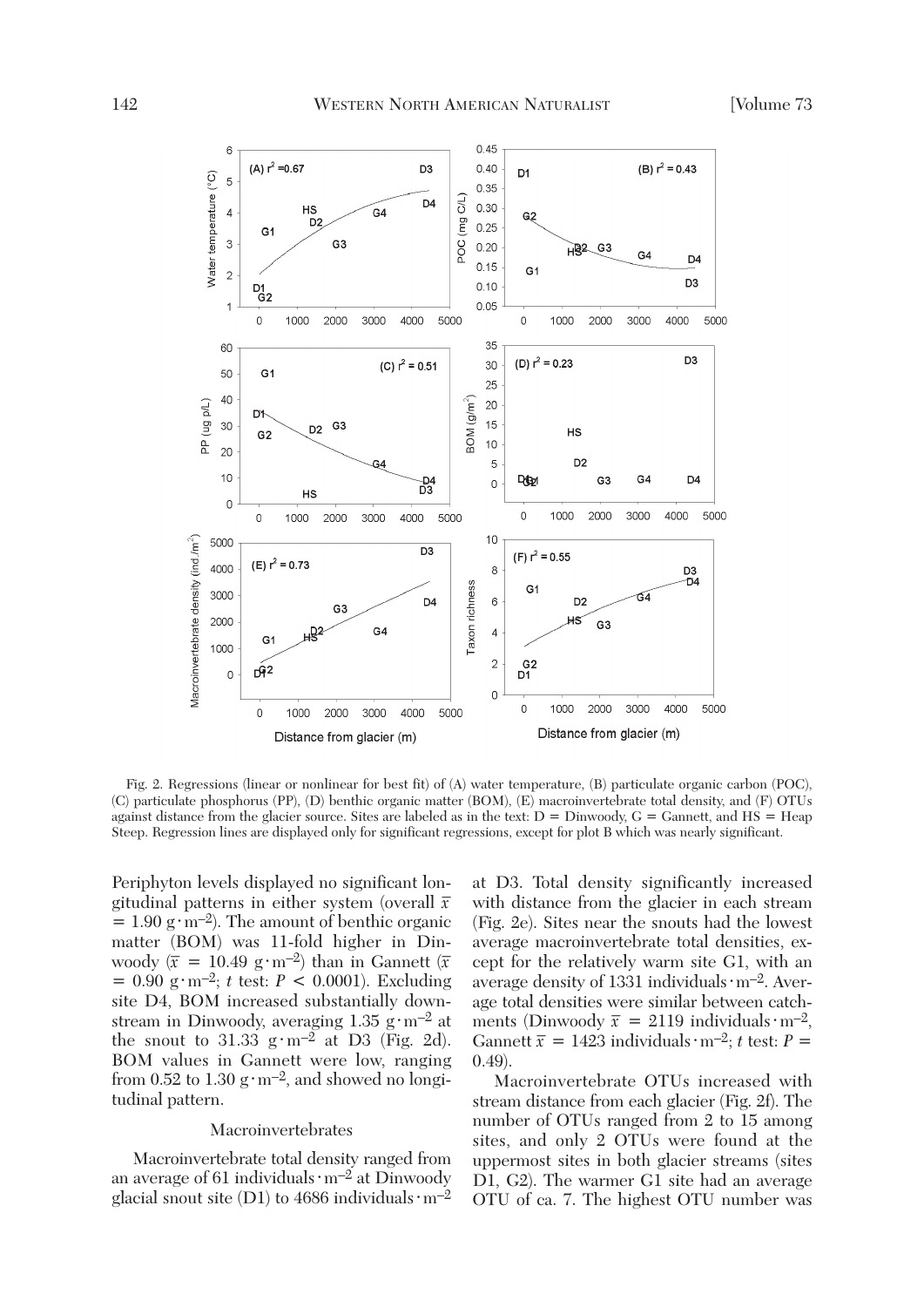

Fig. 2. Regressions (linear or nonlinear for best fit) of (A) water temperature, (B) particulate organic carbon (POC), (C) particulate phosphorus (PP), (D) benthic organic matter (BOM), (E) macroinvertebrate total density, and (F) OTUs against distance from the glacier source. Sites are labeled as in the text:  $D =$  Dinwoody,  $G =$  Gannett, and  $HS =$  Heap Steep. Regression lines are displayed only for significant regressions, except for plot B which was nearly significant.

Periphyton levels displayed no significant longitudinal patterns in either system (overall  $\bar{x}$  $= 1.90 \text{ g} \cdot \text{m}^{-2}$ . The amount of benthic organic matter (BOM) was 11-fold higher in Dinwoody ( $\bar{x} = 10.49 \text{ g} \cdot \text{m}^{-2}$ ) than in Gannett ( $\bar{x}$  $= 0.90 \text{ g} \cdot \text{m}^{-2}$ ; *t* test:  $P < 0.0001$ ). Excluding site D4, BOM increased substantially downstream in Dinwoody, averaging 1.35 g · m<sup>-2</sup> at the snout to  $31.33 \text{ g} \cdot \text{m}^{-2}$  at D3 (Fig. 2d). BOM values in Gannett were low, ranging from 0.52 to 1.30  $g \cdot m^{-2}$ , and showed no longitudinal pattern.

#### Macroinvertebrates

Macroinvertebrate total density ranged from an average of 61 individuals  $\cdot$  m<sup>-2</sup> at Dinwoody glacial snout site (D1) to 4686 individuals  $\cdot$ m<sup>-2</sup> at D3. Total density significantly increased with distance from the glacier in each stream (Fig. 2e). Sites near the snouts had the lowest average macroinvertebrate total densities, except for the relatively warm site G1, with an average density of 1331 individuals  $\cdot$  m<sup>-2</sup>. Average total densities were similar between catch ments (Dinwoody  $\bar{x} = 2119$  individuals  $\cdot$  m<sup>-2</sup>, Gannett  $\bar{x} = 1423$  individuals  $\cdot$  m<sup>-2</sup>; *t* test: *P* = 0.49).

Macroinvertebrate OTUs increased with stream distance from each glacier (Fig. 2f). The number of OTUs ranged from 2 to 15 among sites, and only 2 OTUs were found at the uppermost sites in both glacier streams (sites D1, G2). The warmer G1 site had an average OTU of ca. 7. The highest OTU number was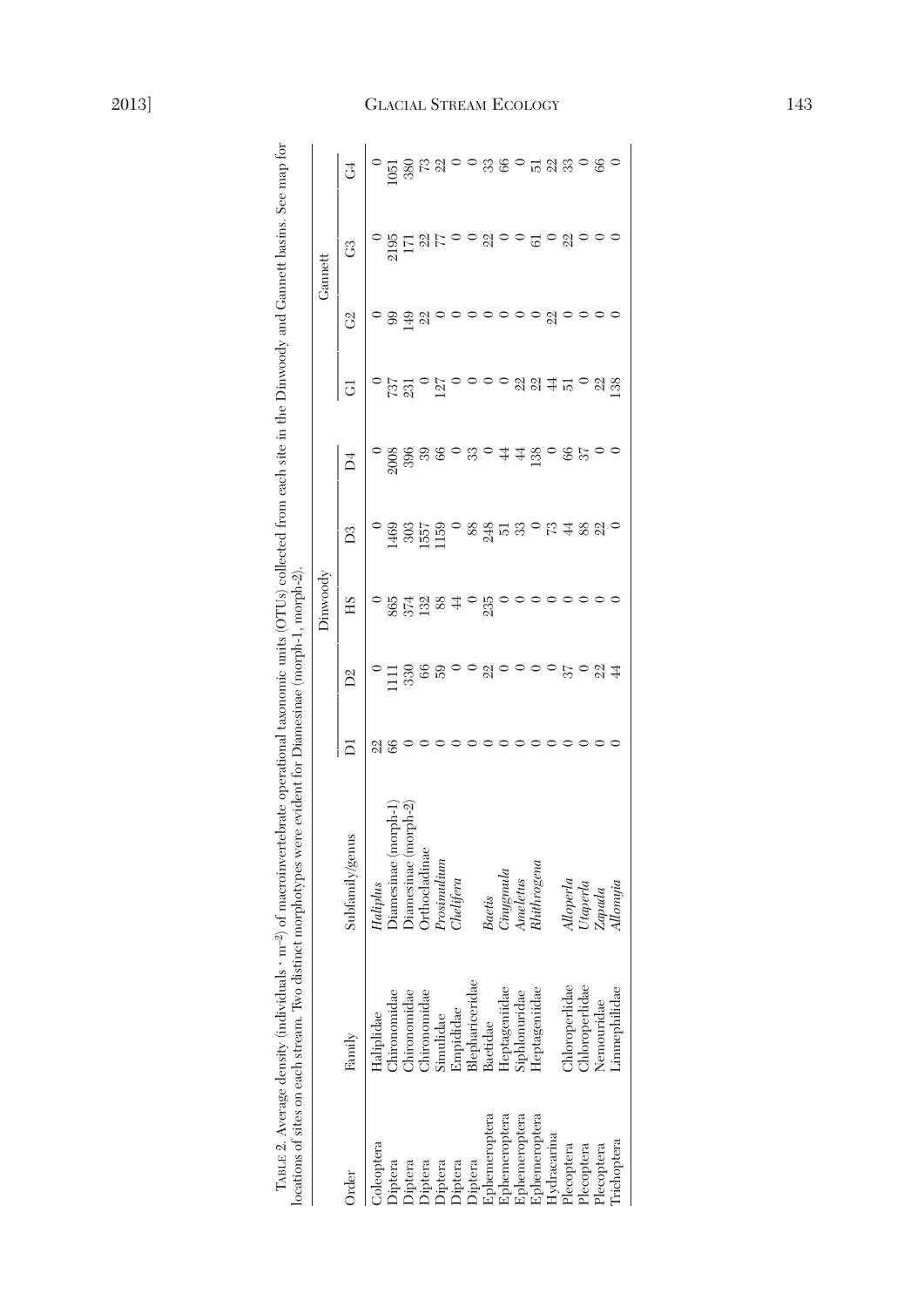| ì                                                                                                                                                       |                                                                                                                        |
|---------------------------------------------------------------------------------------------------------------------------------------------------------|------------------------------------------------------------------------------------------------------------------------|
| i                                                                                                                                                       |                                                                                                                        |
| ļ<br>l                                                                                                                                                  |                                                                                                                        |
| j                                                                                                                                                       |                                                                                                                        |
| i<br>Si<br>r<br>Internet                                                                                                                                | Į                                                                                                                      |
| j<br>$\ddot{\phantom{a}}$                                                                                                                               | <b>Contract</b>                                                                                                        |
|                                                                                                                                                         | さくりょう<br>ļ                                                                                                             |
| i                                                                                                                                                       |                                                                                                                        |
| ì<br>į<br>Ş<br>i<br>j                                                                                                                                   | l<br>١<br>֧֦֧֦֧֦֦֧֦֦֧ׅ֧֧֦֧ׅ֧֦֧ׅ֧֛֛֛֛֧ׅ֧ׅ֧֛֛֛֛֧֧ׅ֧֧֧֚֚֚֚֚֚֚֚֚֚֚֚֚֚֚֚֚֚֚֚֚֚֚֚֝֝֓֜֓֝֓֜֓֜֓֜֜֜֜֓֜֝֬֜֝֬֜<br>i<br>l<br>į<br>i |
| j<br>ļ<br>$\frac{1}{2}$<br>ı<br>$\ddot{\phantom{a}}$<br>i<br>֧֧֦֦֧֦֦֧֧֧ׅ֧֧֦֧֧ׅ֧֧ׅ֧֧֧֧֧֛֧֦֧֚֚֚֚֚֚֚֚֚֚֚֚֚֚֚֚֚֚֚֚֚֚֚֚֚֚֝֝֝֝֝֓֝֓֜֓֝֓֓֜֓֝֬֜֓֝֬֝֓֜֓<br>i<br>j | $\frac{1}{2}$<br>I<br><b>CONGRESS</b><br>Ì<br>i<br>j                                                                   |
| $\frac{1}{2}$<br><b>Contract</b><br>J<br>j<br>į                                                                                                         | i<br>j<br>$\overline{a}$<br>ׅ֪֪֪ׅ֚֚֚֚֚֚֚֚֚֚֚֚֚֚֚֚֚֚֚֚֚֚֚֚֚֚֚֚֡֡֡֡֡֜֝֬֝֓֡֡֡֬֓֡֓֡֬֝֓֞֡֡֓<br>.<br>.                       |
| $\frac{1}{2}$<br>į<br>֧֦֧֦֧ׅ֧֧֧֧֦֧֦֧֦֧֦֧֦֧֛֧֧֧֧֧֧֛֧֧֛֪ׅ֧֛֧֛֪ׅ֛֛֛֪֛֛֛֪ׅ֛֪֛֪ׅ֛֪֧֚֚֚֚֚֚֚֚֚֚֚֚֚֡֕֕֝֬֕֝֓֬֝֓֬֝֓֝֬֝֬֝֬֝֬֝֬֓֝֬֝֬֝֬֬֝֬֓֬֝֬<br>ŀ                  | 医皮肤病 医血管炎<br>j<br>j<br>ţ<br>Í<br>ļ                                                                                     |

|                                                                                                                                                                                                                                |                                                                                                                                                                                                                                                                                               |                             |       |                           | Dinwood <sup>-</sup> |                     |                 |                 |    | Gannet      |             |
|--------------------------------------------------------------------------------------------------------------------------------------------------------------------------------------------------------------------------------|-----------------------------------------------------------------------------------------------------------------------------------------------------------------------------------------------------------------------------------------------------------------------------------------------|-----------------------------|-------|---------------------------|----------------------|---------------------|-----------------|-----------------|----|-------------|-------------|
| <b>I</b> der                                                                                                                                                                                                                   | Family                                                                                                                                                                                                                                                                                        | amily/genus                 | ā     | $\mathbb{D}^{\mathbb{S}}$ | НS                   | 23                  | $\overline{D}4$ | ċ٠              | පි | ී           |             |
| deoptera                                                                                                                                                                                                                       |                                                                                                                                                                                                                                                                                               |                             |       |                           |                      |                     |                 |                 |    |             |             |
| <b>Jiptera</b>                                                                                                                                                                                                                 |                                                                                                                                                                                                                                                                                               | lamesinae (                 | କ୍ଷ ଞ |                           | $86\overline{5}$     | -465                |                 |                 |    |             |             |
|                                                                                                                                                                                                                                | $\begin{tabular}{l} Halipilde\\ Chironomida \\ Chironomida \\ Chironomida \\ Imipidade \\ Empidade \\ Blephariceida \\ Blephariceida \\ Blethariceida \\ Blethorida \\ Blethomida \\ Blethomida \\ Blethomida \\ Heptagenida \\ Giphlomridade \\ Heptagenida \\ Heptagenida \\ \end{tabular}$ | iamesinae (morph-2          |       | 330                       | 374<br>132           | 303                 | 2008<br>396     | 737<br>231      |    | 2195<br>171 | 1051<br>380 |
|                                                                                                                                                                                                                                |                                                                                                                                                                                                                                                                                               | rthocladinae                |       |                           |                      |                     | 39              |                 |    |             | $\tilde{c}$ |
|                                                                                                                                                                                                                                |                                                                                                                                                                                                                                                                                               | rosimulium                  |       | SG                        | 88                   | 1557<br>1159        |                 | <u>131</u>      |    |             | 22          |
|                                                                                                                                                                                                                                |                                                                                                                                                                                                                                                                                               | relitera                    |       |                           |                      |                     |                 |                 |    |             |             |
|                                                                                                                                                                                                                                |                                                                                                                                                                                                                                                                                               |                             |       |                           |                      |                     | 3               |                 |    |             |             |
|                                                                                                                                                                                                                                |                                                                                                                                                                                                                                                                                               | Baetis                      |       | 22                        | 235                  | $\frac{28}{31}$ 530 |                 |                 |    |             |             |
|                                                                                                                                                                                                                                |                                                                                                                                                                                                                                                                                               | inygmula                    |       |                           |                      |                     | $rac{4}{4}$     |                 |    |             | $38^\circ$  |
|                                                                                                                                                                                                                                |                                                                                                                                                                                                                                                                                               | $\label{thm:4} An elements$ |       |                           |                      |                     | 44              |                 |    |             |             |
|                                                                                                                                                                                                                                |                                                                                                                                                                                                                                                                                               |                             |       |                           |                      |                     | 138             |                 |    |             | 51          |
|                                                                                                                                                                                                                                |                                                                                                                                                                                                                                                                                               |                             |       |                           |                      | $\mathbb{Z}$        |                 |                 | 22 |             |             |
| Diptera<br>Diptera<br>Diptera<br>Diptera<br>Diptera<br>Dipteraroptera<br>Ephemeroptera<br>Ephemeroptera<br>Hydracarina<br>Hydracarina<br>Hydracarina<br>Hydracarina<br>Hydracarina<br>Hydracarina<br>Hydracarina<br>Phenoptera | Chloroperlidae<br>Chloroperlidae<br>Nemouridae                                                                                                                                                                                                                                                | lloperlı                    |       | 57                        |                      | $\frac{4}{4}$       | 66<br>37        | 8842            |    | 22          | 2330        |
|                                                                                                                                                                                                                                |                                                                                                                                                                                                                                                                                               | Jtaperla                    |       |                           |                      | 88<br>22            |                 |                 |    |             |             |
|                                                                                                                                                                                                                                |                                                                                                                                                                                                                                                                                               | apada                       |       |                           |                      |                     |                 |                 |    |             |             |
| richoptera                                                                                                                                                                                                                     | imnephilidae                                                                                                                                                                                                                                                                                  |                             |       | 영 숙                       |                      |                     |                 | $\frac{22}{38}$ |    |             |             |
|                                                                                                                                                                                                                                |                                                                                                                                                                                                                                                                                               |                             |       |                           |                      |                     |                 |                 |    |             |             |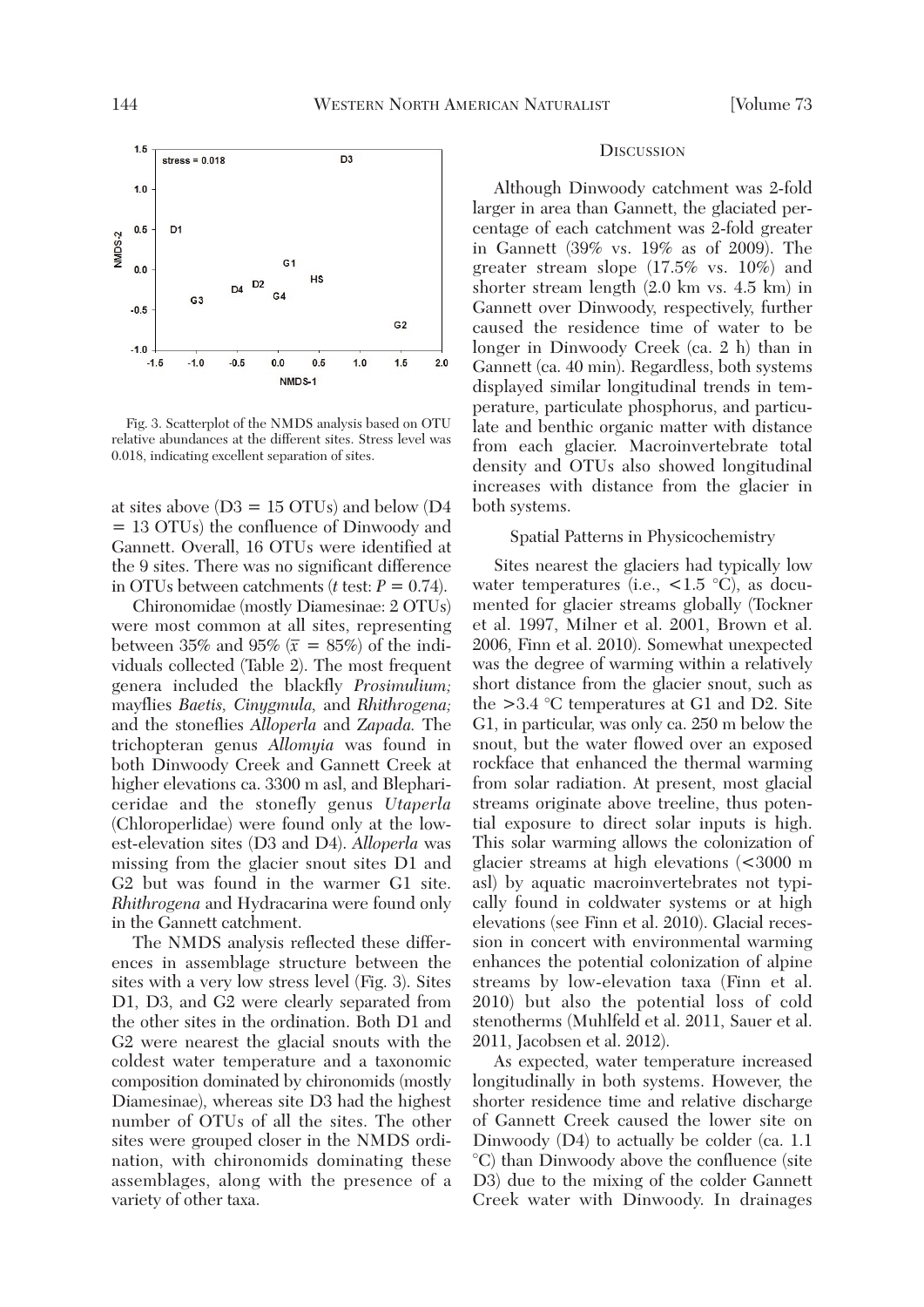

Fig. 3. Scatterplot of the NMDS analysis based on OTU relative abundances at the different sites. Stress level was 0.018, indicating excellent separation of sites.

at sites above  $(D3 = 15 \text{ OTUs})$  and below  $(D4$ = 13 OTUs) the confluence of Dinwoody and Gannett. Overall, 16 OTUs were identified at the 9 sites. There was no significant difference in OTUs between catchments ( $t$  test:  $P = 0.74$ ).

Chironomidae (mostly Diamesinae: 2 OTUs) were most common at all sites, representing between 35% and 95%  $(\bar{x} = 85%)$  of the individuals collected (Table 2). The most frequent genera included the blackfly *Prosimulium;* mayflies *Baetis, Cinygmula,* and *Rhithrogena;* and the stoneflies *Alloperla* and *Zapada.* The trichopteran genus *Allomyia* was found in both Dinwoody Creek and Gannett Creek at higher elevations ca. 3300 m asl, and Blephariceridae and the stonefly genus *Utaperla* (Chloroperlidae) were found only at the lowest-elevation sites (D3 and D4). *Alloperla* was missing from the glacier snout sites D1 and G2 but was found in the warmer G1 site. *Rhithrogena* and Hydracarina were found only in the Gannett catchment.

The NMDS analysis reflected these differences in assemblage structure between the sites with a very low stress level (Fig. 3). Sites D1, D3, and G2 were clearly separated from the other sites in the ordination. Both D1 and G2 were nearest the glacial snouts with the coldest water temperature and a taxonomic composition dominated by chironomids (mostly Diamesinae), whereas site D3 had the highest number of OTUs of all the sites. The other sites were grouped closer in the NMDS ordination, with chironomids dominating these assemblages, along with the presence of a variety of other taxa.

#### **DISCUSSION**

Although Dinwoody catchment was 2-fold larger in area than Gannett, the glaciated percentage of each catchment was 2-fold greater in Gannett (39% vs. 19% as of 2009). The greater stream slope (17.5% vs. 10%) and shorter stream length (2.0 km vs. 4.5 km) in Gannett over Dinwoody, respectively, further caused the residence time of water to be longer in Dinwoody Creek (ca. 2 h) than in Gannett (ca. 40 min). Regardless, both systems displayed similar longitudinal trends in temperature, particulate phosphorus, and particulate and benthic organic matter with distance from each glacier. Macroinvertebrate total density and OTUs also showed longitudinal increases with distance from the glacier in both systems.

#### Spatial Patterns in Physicochemistry

Sites nearest the glaciers had typically low water temperatures (i.e.,  $\langle 1.5 \degree C \rangle$ , as documented for glacier streams globally (Tockner et al. 1997, Milner et al. 2001, Brown et al. 2006, Finn et al. 2010). Somewhat unexpected was the degree of warming within a relatively short distance from the glacier snout, such as the >3.4 °C temperatures at G1 and D2. Site G1, in particular, was only ca. 250 m below the snout, but the water flowed over an exposed rockface that enhanced the thermal warming from solar radiation. At present, most glacial streams originate above treeline, thus potential exposure to direct solar inputs is high. This solar warming allows the colonization of glacier streams at high elevations (<3000 m asl) by aquatic macroinvertebrates not typically found in coldwater systems or at high elevations (see Finn et al. 2010). Glacial recession in concert with environmental warming enhances the potential colonization of alpine streams by low-elevation taxa (Finn et al. 2010) but also the potential loss of cold stenotherms (Muhlfeld et al. 2011, Sauer et al. 2011, Jacobsen et al. 2012).

As expected, water temperature increased longitudinally in both systems. However, the shorter residence time and relative discharge of Gannett Creek caused the lower site on Dinwoody (D4) to actually be colder (ca. 1.1 °C) than Dinwoody above the confluence (site D3) due to the mixing of the colder Gannett Creek water with Dinwoody. In drainages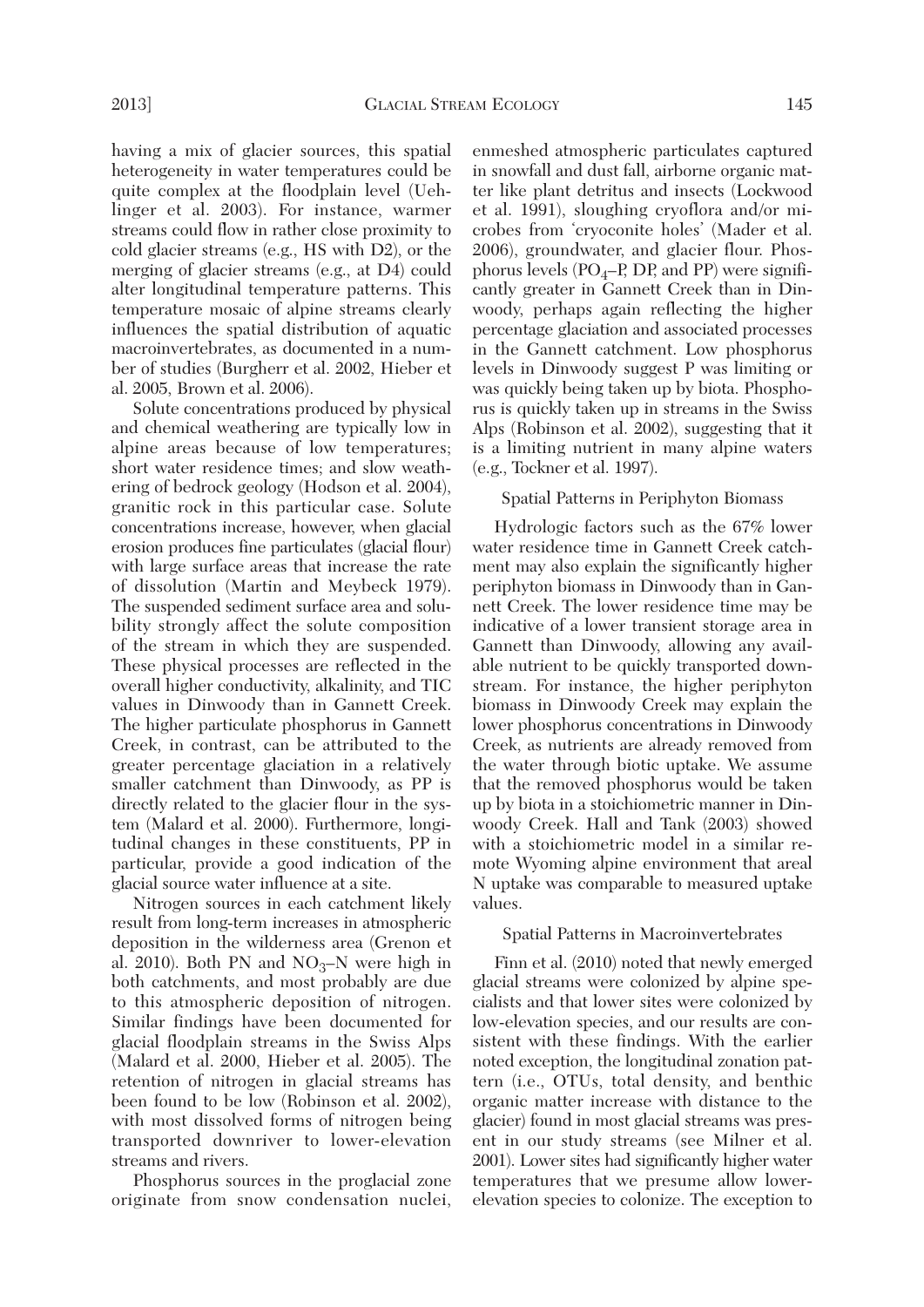having a mix of glacier sources, this spatial heterogeneity in water temperatures could be quite complex at the floodplain level (Uehlinger et al. 2003). For instance, warmer streams could flow in rather close proximity to cold glacier streams (e.g., HS with D2), or the merging of glacier streams (e.g., at D4) could alter longitudinal temperature patterns. This temperature mosaic of alpine streams clearly influences the spatial distribution of aquatic macroinvertebrates, as documented in a number of studies (Burgherr et al. 2002, Hieber et al. 2005, Brown et al. 2006).

Solute concentrations produced by physical and chemical weathering are typically low in alpine areas because of low temperatures; short water residence times; and slow weathering of bedrock geology (Hodson et al. 2004), granitic rock in this particular case. Solute concentrations increase, however, when glacial erosion produces fine particulates (glacial flour) with large surface areas that increase the rate of dissolution (Martin and Meybeck 1979). The suspended sediment surface area and solubility strongly affect the solute composition of the stream in which they are suspended. These physical processes are reflected in the overall higher conductivity, alkalinity, and TIC values in Dinwoody than in Gannett Creek. The higher particulate phosphorus in Gannett Creek, in contrast, can be attributed to the greater percentage glaciation in a relatively smaller catchment than Dinwoody, as PP is directly related to the glacier flour in the system (Malard et al. 2000). Furthermore, longitudinal changes in these constituents, PP in particular, provide a good indication of the glacial source water influence at a site.

Nitrogen sources in each catchment likely result from long-term increases in atmospheric deposition in the wilderness area (Grenon et al. 2010). Both PN and  $NO<sub>3</sub>–N$  were high in both catchments, and most probably are due to this atmospheric deposition of nitrogen. Similar findings have been documented for glacial floodplain streams in the Swiss Alps (Malard et al. 2000, Hieber et al. 2005). The retention of nitrogen in glacial streams has been found to be low (Robinson et al. 2002), with most dissolved forms of nitrogen being transported downriver to lower-elevation streams and rivers.

Phosphorus sources in the proglacial zone originate from snow condensation nuclei, enmeshed atmospheric particulates captured in snowfall and dust fall, airborne organic matter like plant detritus and insects (Lockwood et al. 1991), sloughing cryoflora and/or mi crobes from 'cryoconite holes' (Mader et al. 2006), groundwater, and glacier flour. Phosphorus levels ( $PO<sub>4</sub>$ –P, DP, and PP) were significantly greater in Gannett Creek than in Dinwoody, perhaps again reflecting the higher percentage glaciation and associated processes in the Gannett catchment. Low phosphorus levels in Dinwoody suggest P was limiting or was quickly being taken up by biota. Phosphorus is quickly taken up in streams in the Swiss Alps (Robinson et al. 2002), suggesting that it is a limiting nutrient in many alpine waters (e.g., Tockner et al. 1997).

## Spatial Patterns in Periphyton Biomass

Hydrologic factors such as the 67% lower water residence time in Gannett Creek catchment may also explain the significantly higher periphyton biomass in Dinwoody than in Gannett Creek. The lower residence time may be indicative of a lower transient storage area in Gannett than Dinwoody, allowing any available nutrient to be quickly transported downstream. For instance, the higher periphyton biomass in Dinwoody Creek may explain the lower phosphorus concentrations in Dinwoody Creek, as nutrients are already removed from the water through biotic uptake. We assume that the removed phosphorus would be taken up by biota in a stoichiometric manner in Dinwoody Creek. Hall and Tank (2003) showed with a stoichiometric model in a similar remote Wyoming alpine environment that areal N uptake was comparable to measured uptake values.

## Spatial Patterns in Macroinvertebrates

Finn et al. (2010) noted that newly emerged glacial streams were colonized by alpine specialists and that lower sites were colonized by low-elevation species, and our results are consistent with these findings. With the earlier noted exception, the longitudinal zonation pattern (i.e., OTUs, total density, and benthic organic matter increase with distance to the glacier) found in most glacial streams was pres ent in our study streams (see Milner et al. 2001). Lower sites had significantly higher water temperatures that we presume allow lowerelevation species to colonize. The exception to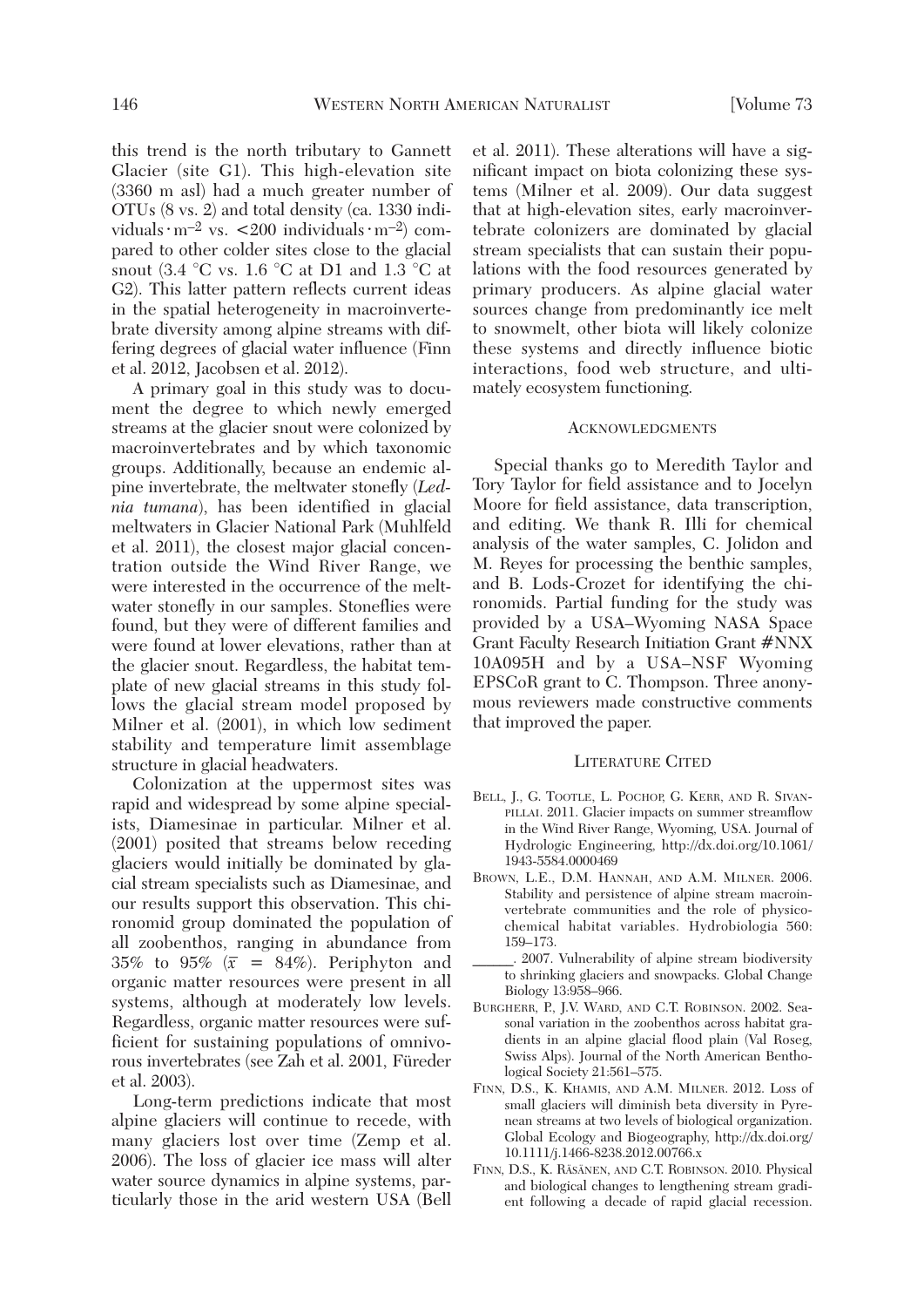this trend is the north tributary to Gannett Glacier (site G1). This high-elevation site (3360 m asl) had a much greater number of OTUs (8 vs. 2) and total density (ca. 1330 individuals  $\cdot$  m<sup>-2</sup> vs.  $\lt$  200 individuals  $\cdot$  m<sup>-2</sup>) compared to other colder sites close to the glacial snout (3.4 °C vs. 1.6 °C at D1 and 1.3 °C at G2). This latter pattern reflects current ideas in the spatial heterogeneity in macroinvertebrate diversity among alpine streams with differing degrees of glacial water influence (Finn et al. 2012, Jacobsen et al. 2012).

A primary goal in this study was to document the degree to which newly emerged streams at the glacier snout were colonized by macroinvertebrates and by which taxonomic groups. Additionally, because an endemic al pine invertebrate, the meltwater stonefly (*Lednia tumana*), has been identified in glacial meltwaters in Glacier National Park (Muhlfeld et al. 2011), the closest major glacial concentration outside the Wind River Range, we were interested in the occurrence of the meltwater stonefly in our samples. Stoneflies were found, but they were of different families and were found at lower elevations, rather than at the glacier snout. Regardless, the habitat template of new glacial streams in this study follows the glacial stream model proposed by Milner et al. (2001), in which low sediment stability and temperature limit assemblage structure in glacial headwaters.

Colonization at the uppermost sites was rapid and widespread by some alpine specialists, Diamesinae in particular. Milner et al. (2001) posited that streams below receding glaciers would initially be dominated by glacial stream specialists such as Diamesinae, and our results support this observation. This chironomid group dominated the population of all zoobenthos, ranging in abundance from  $35\%$  to  $95\%$  ( $\bar{x} = 84\%$ ). Periphyton and organic matter resources were present in all systems, although at moderately low levels. Regardless, organic matter resources were sufficient for sustaining populations of omnivorous invertebrates (see Zah et al. 2001, Füreder et al. 2003).

Long-term predictions indicate that most alpine glaciers will continue to recede, with many glaciers lost over time (Zemp et al. 2006). The loss of glacier ice mass will alter water source dynamics in alpine systems, particularly those in the arid western USA (Bell et al. 2011). These alterations will have a significant impact on biota colonizing these systems (Milner et al. 2009). Our data suggest that at high-elevation sites, early macroinvertebrate colonizers are dominated by glacial stream specialists that can sustain their populations with the food resources generated by primary producers. As alpine glacial water sources change from predominantly ice melt to snowmelt, other biota will likely colonize these systems and directly influence biotic interactions, food web structure, and ultimately ecosystem functioning.

#### **ACKNOWLEDGMENTS**

Special thanks go to Meredith Taylor and Tory Taylor for field assistance and to Jocelyn Moore for field assistance, data transcription, and editing. We thank R. Illi for chemical analysis of the water samples, C. Jolidon and M. Reyes for processing the benthic samples, and B. Lods-Crozet for identifying the chironomids. Partial funding for the study was provided by a USA–Wyoming NASA Space Grant Faculty Research Initiation Grant #NNX 10A095H and by a USA–NSF Wyoming EPSCoR grant to C. Thompson. Three anonymous reviewers made constructive comments that improved the paper.

#### LITERATURE CITED

- BELL, J., G. TOOTLE, L. POCHOP, G. KERR, AND R. SIVAN-PILLAI. 2011. Glacier impacts on summer streamflow in the Wind River Range, Wyoming, USA. Journal of Hydrologic Engineering, http://dx.doi.org/10.1061/ 1943-5584.0000469
- BROWN, L.E., D.M. HANNAH, AND A.M. MILNER. 2006. Stability and persistence of alpine stream macroinvertebrate communities and the role of physicochemical habitat variables. Hydrobiologia 560: 159–173.
- \_\_\_\_\_\_. 2007. Vulnerability of alpine stream biodiversity to shrinking glaciers and snowpacks. Global Change Biology 13:958–966.
- BURGHERR, P., J.V. WARD, AND C.T. ROBINSON. 2002. Seasonal variation in the zoobenthos across habitat gradients in an alpine glacial flood plain (Val Roseg, Swiss Alps). Journal of the North American Benthological Society 21:561–575.
- FINN, D.S., K. KHAMIS, AND A.M. MILNER. 2012. Loss of small glaciers will diminish beta diversity in Pyrenean streams at two levels of biological organization. Global Ecology and Biogeography, http://dx.doi.org/ 10.1111/j.1466-8238.2012.00766.x
- FINN, D.S., K. RÄSÄNEN, AND C.T. ROBINSON. 2010. Physical and biological changes to lengthening stream gradient following a decade of rapid glacial recession.